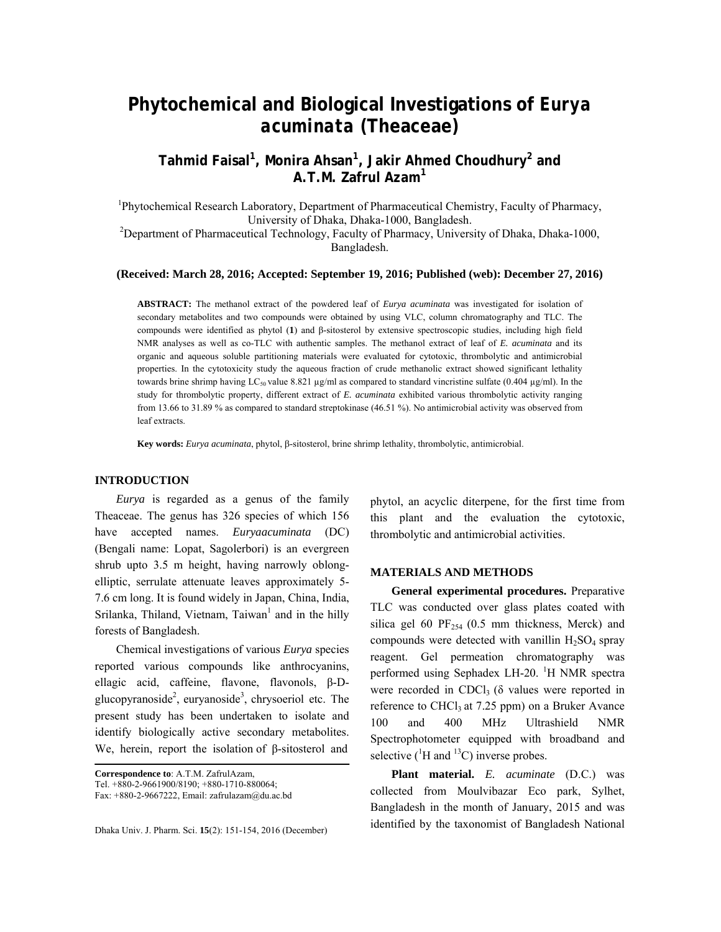# **Phytochemical and Biological Investigations of** *Eurya acuminata* **(Theaceae)**

**Tahmid Faisal1 , Monira Ahsan<sup>1</sup> , Jakir Ahmed Choudhury<sup>2</sup> and A.T.M. Zafrul Azam<sup>1</sup>**

<sup>1</sup>Phytochemical Research Laboratory, Department of Pharmaceutical Chemistry, Faculty of Pharmacy, University of Dhaka, Dhaka-1000, Bangladesh.<br><sup>2</sup>Department of Pharmaceutical Technology, Faculty of Pharmacy, University of Dhaka, Dhaka-1000,

Bangladesh.

### **(Received: March 28, 2016; Accepted: September 19, 2016; Published (web): December 27, 2016)**

**ABSTRACT:** The methanol extract of the powdered leaf of *Eurya acuminata* was investigated for isolation of secondary metabolites and two compounds were obtained by using VLC, column chromatography and TLC. The compounds were identified as phytol (**1**) and β-sitosterol by extensive spectroscopic studies, including high field NMR analyses as well as co-TLC with authentic samples. The methanol extract of leaf of *E. acuminata* and its organic and aqueous soluble partitioning materials were evaluated for cytotoxic, thrombolytic and antimicrobial properties. In the cytotoxicity study the aqueous fraction of crude methanolic extract showed significant lethality towards brine shrimp having LC<sub>50</sub> value 8.821 µg/ml as compared to standard vincristine sulfate (0.404 µg/ml). In the study for thrombolytic property, different extract of *E. acuminata* exhibited various thrombolytic activity ranging from 13.66 to 31.89 % as compared to standard streptokinase (46.51 %). No antimicrobial activity was observed from leaf extracts.

**Key words:** *Eurya acuminata*, phytol, β-sitosterol, brine shrimp lethality, thrombolytic, antimicrobial.

#### **INTRODUCTION**

 *Eurya* is regarded as a genus of the family Theaceae. The genus has 326 species of which 156 have accepted names. *Euryaacuminata* (DC) (Bengali name: Lopat, Sagolerbori) is an evergreen shrub upto 3.5 m height, having narrowly oblongelliptic, serrulate attenuate leaves approximately 5- 7.6 cm long. It is found widely in Japan, China, India, Srilanka, Thiland, Vietnam, Taiwan<sup>1</sup> and in the hilly forests of Bangladesh.

 Chemical investigations of various *Eurya* species reported various compounds like anthrocyanins, ellagic acid, caffeine, flavone, flavonols, β-Dglucopyranoside<sup>2</sup>, euryanoside<sup>3</sup>, chrysoeriol etc. The present study has been undertaken to isolate and identify biologically active secondary metabolites. We, herein, report the isolation of β-sitosterol and

**Correspondence to**: A.T.M. ZafrulAzam,

Dhaka Univ. J. Pharm. Sci. **15**(2): 151-154, 2016 (December)

phytol, an acyclic diterpene, for the first time from this plant and the evaluation the cytotoxic, thrombolytic and antimicrobial activities.

### **MATERIALS AND METHODS**

 **General experimental procedures.** Preparative TLC was conducted over glass plates coated with silica gel 60  $PF_{254}$  (0.5 mm thickness, Merck) and compounds were detected with vanillin  $H_2SO_4$  spray reagent. Gel permeation chromatography was performed using Sephadex LH-20. <sup>1</sup>H NMR spectra were recorded in CDCl<sub>3</sub> ( $\delta$  values were reported in reference to  $CHCl<sub>3</sub>$  at 7.25 ppm) on a Bruker Avance 100 and 400 MHz Ultrashield NMR Spectrophotometer equipped with broadband and selective ( ${}^{1}$ H and  ${}^{13}$ C) inverse probes.

 **Plant material.** *E. acuminate* (D.C.) was collected from Moulvibazar Eco park, Sylhet, Bangladesh in the month of January, 2015 and was identified by the taxonomist of Bangladesh National

Tel. +880-2-9661900/8190; +880-1710-880064;

Fax: +880-2-9667222, Email: zafrulazam@du.ac.bd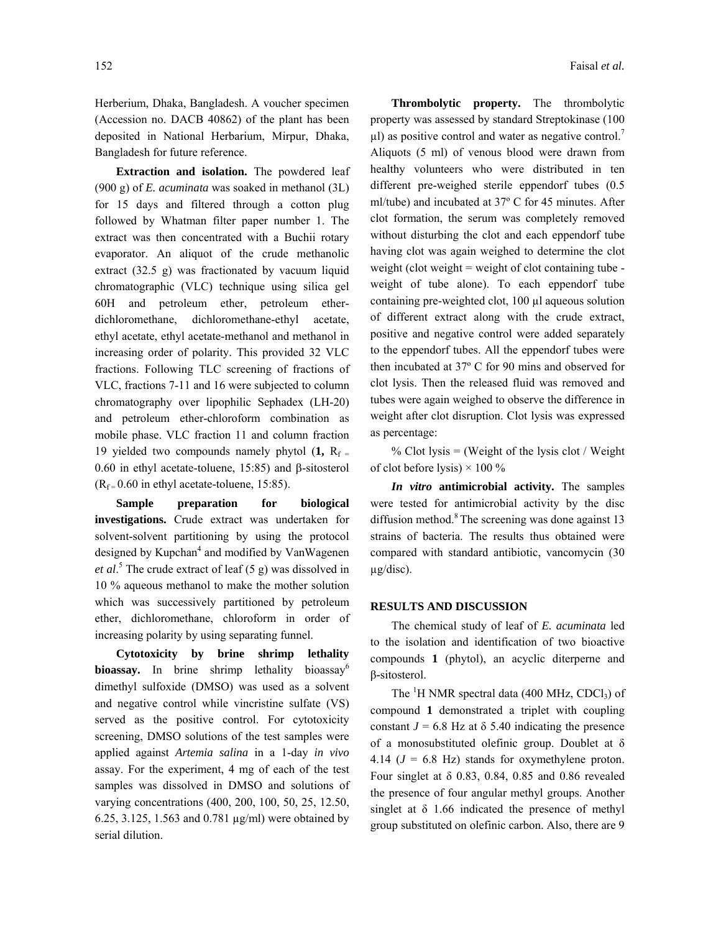Herberium, Dhaka, Bangladesh. A voucher specimen (Accession no. DACB 40862) of the plant has been deposited in National Herbarium, Mirpur, Dhaka, Bangladesh for future reference.

 **Extraction and isolation.** The powdered leaf (900 g) of *E. acuminata* was soaked in methanol (3L) for 15 days and filtered through a cotton plug followed by Whatman filter paper number 1. The extract was then concentrated with a Buchii rotary evaporator. An aliquot of the crude methanolic extract (32.5 g) was fractionated by vacuum liquid chromatographic (VLC) technique using silica gel 60H and petroleum ether, petroleum etherdichloromethane, dichloromethane-ethyl acetate, ethyl acetate, ethyl acetate-methanol and methanol in increasing order of polarity. This provided 32 VLC fractions. Following TLC screening of fractions of VLC, fractions 7-11 and 16 were subjected to column chromatography over lipophilic Sephadex (LH-20) and petroleum ether-chloroform combination as mobile phase. VLC fraction 11 and column fraction 19 yielded two compounds namely phytol  $(1, R_f =$ 0.60 in ethyl acetate-toluene, 15:85) and β-sitosterol  $(R_f = 0.60$  in ethyl acetate-toluene, 15:85).

**Sample preparation for biological investigations.** Crude extract was undertaken for solvent-solvent partitioning by using the protocol designed by Kupchan<sup>4</sup> and modified by VanWagenen *et al*. 5 The crude extract of leaf (5 g) was dissolved in 10 % aqueous methanol to make the mother solution which was successively partitioned by petroleum ether, dichloromethane, chloroform in order of increasing polarity by using separating funnel.

 **Cytotoxicity by brine shrimp lethality bioassay.** In brine shrimp lethality bioassay<sup>6</sup> dimethyl sulfoxide (DMSO) was used as a solvent and negative control while vincristine sulfate (VS) served as the positive control. For cytotoxicity screening, DMSO solutions of the test samples were applied against *Artemia salina* in a 1-day *in vivo* assay. For the experiment, 4 mg of each of the test samples was dissolved in DMSO and solutions of varying concentrations (400, 200, 100, 50, 25, 12.50, 6.25, 3.125, 1.563 and 0.781 µg/ml) were obtained by serial dilution.

 **Thrombolytic property.** The thrombolytic property was assessed by standard Streptokinase (100  $\mu$ l) as positive control and water as negative control.<sup>7</sup> Aliquots (5 ml) of venous blood were drawn from healthy volunteers who were distributed in ten different pre-weighed sterile eppendorf tubes (0.5 ml/tube) and incubated at 37º C for 45 minutes. After clot formation, the serum was completely removed without disturbing the clot and each eppendorf tube having clot was again weighed to determine the clot weight (clot weight  $=$  weight of clot containing tube weight of tube alone). To each eppendorf tube containing pre-weighted clot, 100 µl aqueous solution of different extract along with the crude extract, positive and negative control were added separately to the eppendorf tubes. All the eppendorf tubes were then incubated at 37º C for 90 mins and observed for clot lysis. Then the released fluid was removed and tubes were again weighed to observe the difference in weight after clot disruption. Clot lysis was expressed as percentage:

% Clot lysis  $=$  (Weight of the lysis clot / Weight of clot before lysis)  $\times$  100 %

 *In vitro* **antimicrobial activity.** The samples were tested for antimicrobial activity by the disc diffusion method. $8$  The screening was done against 13 strains of bacteria. The results thus obtained were compared with standard antibiotic, vancomycin (30 µg/disc).

#### **RESULTS AND DISCUSSION**

 The chemical study of leaf of *E. acuminata* led to the isolation and identification of two bioactive compounds **1** (phytol), an acyclic diterperne and β**-**sitosterol.

The  ${}^{1}H$  NMR spectral data (400 MHz, CDCl<sub>3</sub>) of compound **1** demonstrated a triplet with coupling constant  $J = 6.8$  Hz at  $\delta$  5.40 indicating the presence of a monosubstituted olefinic group. Doublet at δ 4.14  $(J = 6.8$  Hz) stands for oxymethylene proton. Four singlet at δ 0.83, 0.84, 0.85 and 0.86 revealed the presence of four angular methyl groups. Another singlet at  $\delta$  1.66 indicated the presence of methyl group substituted on olefinic carbon. Also, there are 9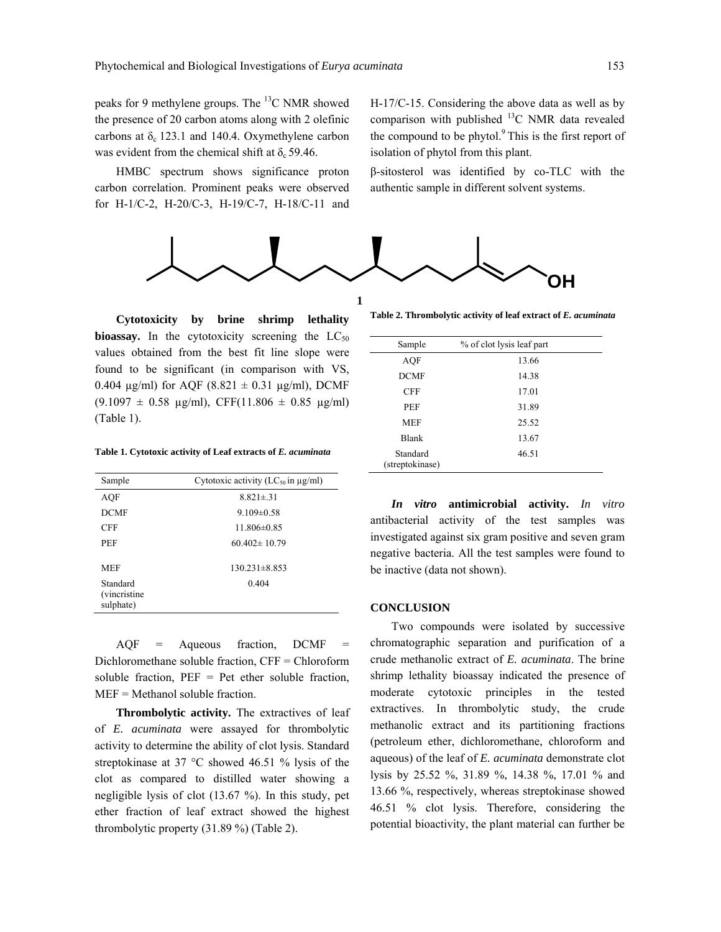peaks for 9 methylene groups. The  ${}^{13}$ C NMR showed the presence of 20 carbon atoms along with 2 olefinic carbons at  $\delta_c$  123.1 and 140.4. Oxymethylene carbon was evident from the chemical shift at  $\delta_c$  59.46.

 HMBC spectrum shows significance proton carbon correlation. Prominent peaks were observed for H-1/C-2, H-20/C-3, H-19/C-7, H-18/C-11 and H-17/C-15. Considering the above data as well as by comparison with published  $^{13}$ C NMR data revealed the compound to be phytol. $9$  This is the first report of isolation of phytol from this plant.

β-sitosterol was identified by co-TLC with the authentic sample in different solvent systems.



 **Cytotoxicity by brine shrimp lethality bioassay.** In the cytotoxicity screening the  $LC_{50}$ values obtained from the best fit line slope were found to be significant (in comparison with VS, 0.404  $\mu$ g/ml) for AQF (8.821  $\pm$  0.31  $\mu$ g/ml), DCMF  $(9.1097 \pm 0.58 \text{ µg/ml})$ , CFF(11.806  $\pm$  0.85  $\mu$ g/ml) (Table 1).

**Table 1. Cytotoxic activity of Leaf extracts of** *E. acuminata* 

| Sample                                        | Cytotoxic activity (LC <sub>50</sub> in $\mu$ g/ml) |
|-----------------------------------------------|-----------------------------------------------------|
| AOF                                           | $8.821 \pm .31$                                     |
| <b>DCMF</b>                                   | $9.109 \pm 0.58$                                    |
| <b>CFF</b>                                    | $11.806\pm0.85$                                     |
| PEF                                           | $60.402 \pm 10.79$                                  |
| <b>MEF</b>                                    | $130.231 \pm 8.853$                                 |
| Standard<br><i>(vincristine)</i><br>sulphate) | 0.404                                               |

 $AQF = Aqueous fraction, DCMF$ Dichloromethane soluble fraction, CFF = Chloroform soluble fraction,  $PEF = Pet$  ether soluble fraction, MEF = Methanol soluble fraction.

**Thrombolytic activity.** The extractives of leaf of *E. acuminata* were assayed for thrombolytic activity to determine the ability of clot lysis. Standard streptokinase at 37 °C showed 46.51 % lysis of the clot as compared to distilled water showing a negligible lysis of clot (13.67 %). In this study, pet ether fraction of leaf extract showed the highest thrombolytic property (31.89 %) (Table 2).

**Table 2. Thrombolytic activity of leaf extract of** *E. acuminata* 

| Sample                      | % of clot lysis leaf part |
|-----------------------------|---------------------------|
| <b>AQF</b>                  | 13.66                     |
| <b>DCMF</b>                 | 14.38                     |
| <b>CFF</b>                  | 17.01                     |
| PEF                         | 31.89                     |
| <b>MEF</b>                  | 25.52                     |
| <b>Blank</b>                | 13.67                     |
| Standard<br>(streptokinase) | 46.51                     |

 *In vitro* **antimicrobial activity.** *In vitro* antibacterial activity of the test samples was investigated against six gram positive and seven gram negative bacteria. All the test samples were found to be inactive (data not shown).

## **CONCLUSION**

 Two compounds were isolated by successive chromatographic separation and purification of a crude methanolic extract of *E. acuminata*. The brine shrimp lethality bioassay indicated the presence of moderate cytotoxic principles in the tested extractives. In thrombolytic study, the crude methanolic extract and its partitioning fractions (petroleum ether, dichloromethane, chloroform and aqueous) of the leaf of *E. acuminata* demonstrate clot lysis by 25.52 %, 31.89 %, 14.38 %, 17.01 % and 13.66 %, respectively, whereas streptokinase showed 46.51 % clot lysis. Therefore, considering the potential bioactivity, the plant material can further be